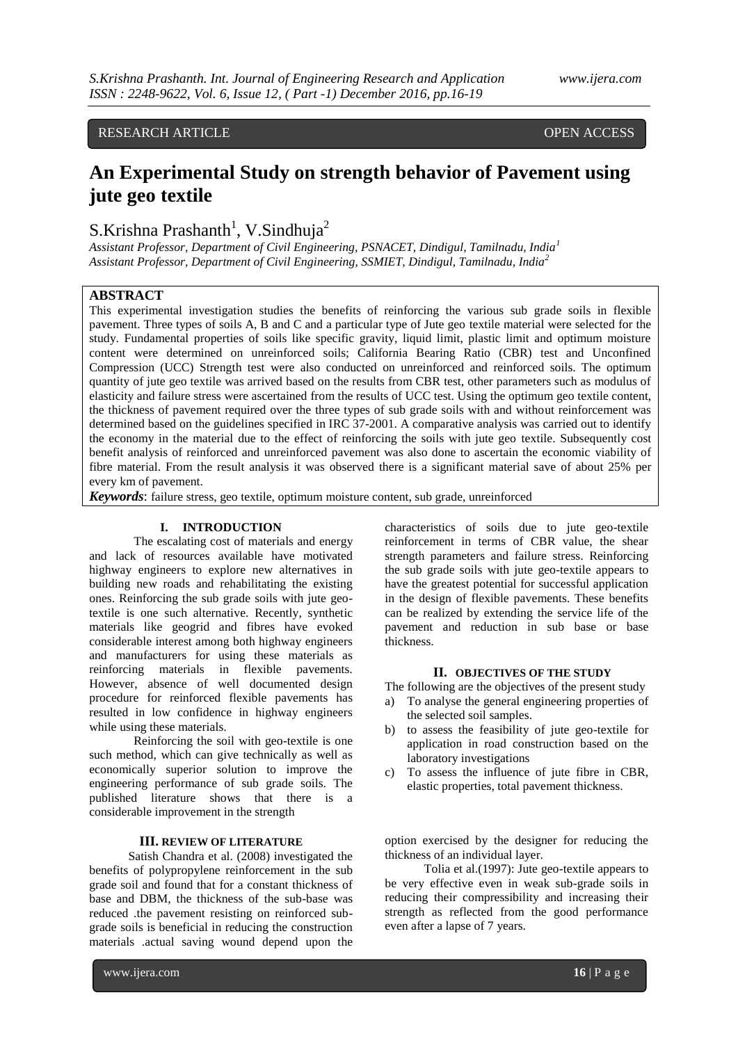## RESEARCH ARTICLE **CONSERVERS** OPEN ACCESS

# **An Experimental Study on strength behavior of Pavement using jute geo textile**

## $S.Krishna Prashanth<sup>1</sup>, V.Sindhuja<sup>2</sup>$

*Assistant Professor, Department of Civil Engineering, PSNACET, Dindigul, Tamilnadu, India<sup>1</sup> Assistant Professor, Department of Civil Engineering, SSMIET, Dindigul, Tamilnadu, India<sup>2</sup>*

## **ABSTRACT**

This experimental investigation studies the benefits of reinforcing the various sub grade soils in flexible pavement. Three types of soils A, B and C and a particular type of Jute geo textile material were selected for the study. Fundamental properties of soils like specific gravity, liquid limit, plastic limit and optimum moisture content were determined on unreinforced soils; California Bearing Ratio (CBR) test and Unconfined Compression (UCC) Strength test were also conducted on unreinforced and reinforced soils. The optimum quantity of jute geo textile was arrived based on the results from CBR test, other parameters such as modulus of elasticity and failure stress were ascertained from the results of UCC test. Using the optimum geo textile content, the thickness of pavement required over the three types of sub grade soils with and without reinforcement was determined based on the guidelines specified in IRC 37-2001. A comparative analysis was carried out to identify the economy in the material due to the effect of reinforcing the soils with jute geo textile. Subsequently cost benefit analysis of reinforced and unreinforced pavement was also done to ascertain the economic viability of fibre material. From the result analysis it was observed there is a significant material save of about 25% per every km of pavement.

*Keywords*: failure stress, geo textile, optimum moisture content, sub grade, unreinforced

## **I. INTRODUCTION**

The escalating cost of materials and energy and lack of resources available have motivated highway engineers to explore new alternatives in building new roads and rehabilitating the existing ones. Reinforcing the sub grade soils with jute geotextile is one such alternative. Recently, synthetic materials like geogrid and fibres have evoked considerable interest among both highway engineers and manufacturers for using these materials as reinforcing materials in flexible pavements. However, absence of well documented design procedure for reinforced flexible pavements has resulted in low confidence in highway engineers while using these materials.

Reinforcing the soil with geo-textile is one such method, which can give technically as well as economically superior solution to improve the engineering performance of sub grade soils. The published literature shows that there is a considerable improvement in the strength

### **III. REVIEW OF LITERATURE**

Satish Chandra et al. (2008) investigated the benefits of polypropylene reinforcement in the sub grade soil and found that for a constant thickness of base and DBM, the thickness of the sub-base was reduced .the pavement resisting on reinforced subgrade soils is beneficial in reducing the construction materials .actual saving wound depend upon the

characteristics of soils due to jute geo-textile reinforcement in terms of CBR value, the shear strength parameters and failure stress. Reinforcing the sub grade soils with jute geo-textile appears to have the greatest potential for successful application in the design of flexible pavements. These benefits can be realized by extending the service life of the pavement and reduction in sub base or base thickness.

## **II. OBJECTIVES OF THE STUDY**

The following are the objectives of the present study

- a) To analyse the general engineering properties of the selected soil samples.
- b) to assess the feasibility of jute geo-textile for application in road construction based on the laboratory investigations
- c) To assess the influence of jute fibre in CBR, elastic properties, total pavement thickness.

option exercised by the designer for reducing the thickness of an individual layer.

Tolia et al.(1997): Jute geo-textile appears to be very effective even in weak sub-grade soils in reducing their compressibility and increasing their strength as reflected from the good performance even after a lapse of 7 years.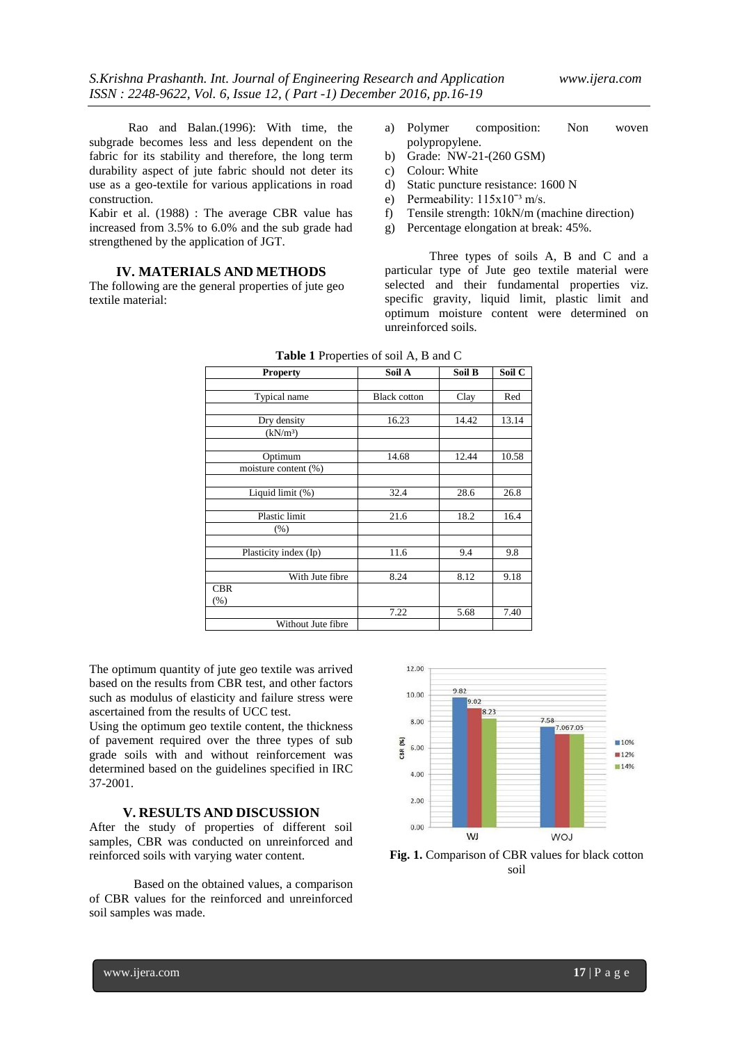Rao and Balan.(1996): With time, the subgrade becomes less and less dependent on the fabric for its stability and therefore, the long term durability aspect of jute fabric should not deter its use as a geo-textile for various applications in road construction.

Kabir et al. (1988) : The average CBR value has increased from 3.5% to 6.0% and the sub grade had strengthened by the application of JGT.

## **IV. MATERIALS AND METHODS**

The following are the general properties of jute geo textile material:

- a) Polymer composition: Non woven polypropylene.
- b) Grade: NW-21-(260 GSM)
- c) Colour: White
- d) Static puncture resistance: 1600 N
- e) Permeability:  $115x10^{-3}$  m/s.
- f) Tensile strength: 10kN/m (machine direction)
- g) Percentage elongation at break: 45%.

Three types of soils A, B and C and a particular type of Jute geo textile material were selected and their fundamental properties viz. specific gravity, liquid limit, plastic limit and optimum moisture content were determined on unreinforced soils.

| ı                     |                     |        |        |  |  |  |
|-----------------------|---------------------|--------|--------|--|--|--|
| <b>Property</b>       | Soil A              | Soil B | Soil C |  |  |  |
|                       |                     |        |        |  |  |  |
| Typical name          | <b>Black cotton</b> | Clay   | Red    |  |  |  |
|                       |                     |        |        |  |  |  |
| Dry density           | 16.23               | 14.42  | 13.14  |  |  |  |
| (kN/m <sup>3</sup> )  |                     |        |        |  |  |  |
|                       |                     |        |        |  |  |  |
| Optimum               | 14.68               | 12.44  | 10.58  |  |  |  |
| moisture content (%)  |                     |        |        |  |  |  |
|                       |                     |        |        |  |  |  |
| Liquid limit (%)      | 32.4                | 28.6   | 26.8   |  |  |  |
|                       |                     |        |        |  |  |  |
| Plastic limit         | 21.6                | 18.2   | 16.4   |  |  |  |
| (% )                  |                     |        |        |  |  |  |
|                       |                     |        |        |  |  |  |
| Plasticity index (Ip) | 11.6                | 9.4    | 9.8    |  |  |  |
|                       |                     |        |        |  |  |  |
| With Jute fibre       | 8.24                | 8.12   | 9.18   |  |  |  |
| <b>CBR</b>            |                     |        |        |  |  |  |
| (% )                  |                     |        |        |  |  |  |
|                       | 7.22                | 5.68   | 7.40   |  |  |  |
| Without Jute fibre    |                     |        |        |  |  |  |

**Table 1** Properties of soil A, B and C

The optimum quantity of jute geo textile was arrived based on the results from CBR test, and other factors such as modulus of elasticity and failure stress were ascertained from the results of UCC test.

Using the optimum geo textile content, the thickness of pavement required over the three types of sub grade soils with and without reinforcement was determined based on the guidelines specified in IRC 37-2001.

#### **V. RESULTS AND DISCUSSION**

After the study of properties of different soil samples, CBR was conducted on unreinforced and reinforced soils with varying water content.

Based on the obtained values, a comparison of CBR values for the reinforced and unreinforced soil samples was made.



**Fig. 1.** Comparison of CBR values for black cotton soil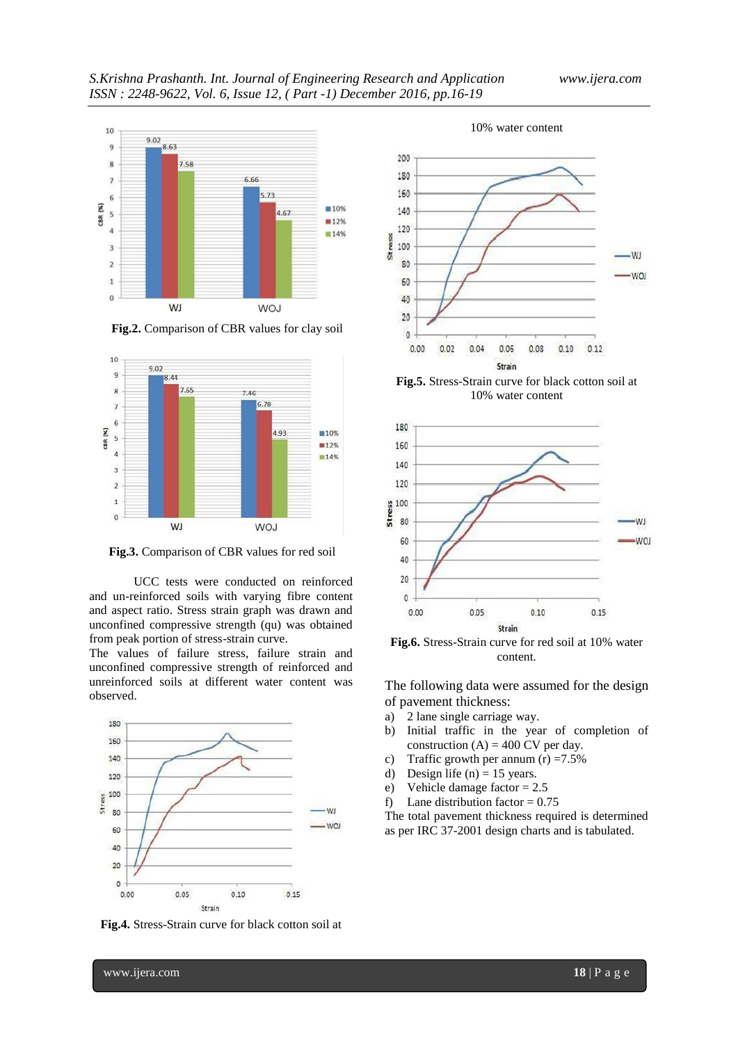

**Fig.2.** Comparison of CBR values for clay soil



**Fig.3.** Comparison of CBR values for red soil

UCC tests were conducted on reinforced and un-reinforced soils with varying fibre content and aspect ratio. Stress strain graph was drawn and unconfined compressive strength (qu) was obtained from peak portion of stress-strain curve.

The values of failure stress, failure strain and unconfined compressive strength of reinforced and unreinforced soils at different water content was observed.



**Fig.4.** Stress-Strain curve for black cotton soil at







The following data were assumed for the design of pavement thickness:

- a) 2 lane single carriage way.
- b) Initial traffic in the year of completion of construction  $(A) = 400$  CV per day.
- c) Traffic growth per annum  $(r) = 7.5\%$
- d) Design life (n) = 15 years.
- e) Vehicle damage factor = 2.5
- f) Lane distribution factor =  $0.75$

The total pavement thickness required is determined as per IRC 37-2001 design charts and is tabulated.

#### www.ijera.com **18** | P a g e